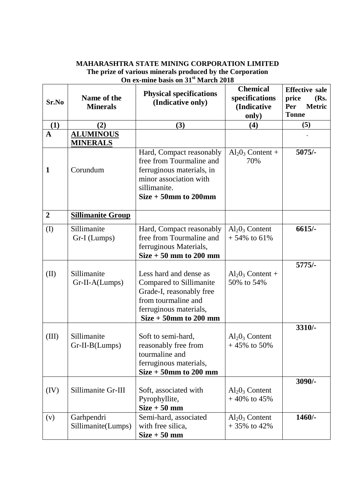## **MAHARASHTRA STATE MINING CORPORATION LIMITED The prize of various minerals produced by the Corporation On ex-mine basis on 31st March 2018**

| Sr.No          | Name of the<br><b>Minerals</b>      | <b>Physical specifications</b><br>(Indicative only)                                                                                                        | <b>Chemical</b><br>specifications<br>(Indicative<br>only) | <b>Effective sale</b><br>price<br>(Rs.<br>Per<br><b>Metric</b><br><b>Tonne</b> |
|----------------|-------------------------------------|------------------------------------------------------------------------------------------------------------------------------------------------------------|-----------------------------------------------------------|--------------------------------------------------------------------------------|
| (1)            | (2)                                 | (3)                                                                                                                                                        | (4)                                                       | (5)                                                                            |
| $\mathbf A$    | <b>ALUMINOUS</b><br><b>MINERALS</b> |                                                                                                                                                            |                                                           |                                                                                |
| 1              | Corundum                            | Hard, Compact reasonably<br>free from Tourmaline and<br>ferruginous materials, in<br>minor association with<br>sillimanite.<br>$Size + 50$ mm to 200mm     | $Al_2O_3$ Content +<br>70%                                | $5075/-$                                                                       |
| $\overline{2}$ | <b>Sillimanite Group</b>            |                                                                                                                                                            |                                                           |                                                                                |
| $\rm (I)$      | Sillimanite<br>Gr-I (Lumps)         | Hard, Compact reasonably<br>free from Tourmaline and<br>ferruginous Materials,<br>$Size + 50$ mm to 200 mm                                                 | $Al_2O_3$ Content<br>$+54\%$ to 61%                       | $6615/-$                                                                       |
| (II)           | Sillimanite<br>Gr-II-A(Lumps)       | Less hard and dense as<br>Compared to Sillimanite<br>Grade-I, reasonably free<br>from tourmaline and<br>ferruginous materials,<br>$Size + 50$ mm to 200 mm | $Al_2O_3$ Content +<br>50% to 54%                         | $5775/-$                                                                       |
| (III)          | Sillimanite<br>$Gr-II-B(Lumps)$     | Soft to semi-hard,<br>reasonably free from<br>tourmaline and<br>ferruginous materials,<br>$Size + 50$ mm to 200 mm                                         | $Al_2O_3$ Content<br>$+45\%$ to 50%                       | 3310/-                                                                         |
| (IV)           | Sillimanite Gr-III                  | Soft, associated with<br>Pyrophyllite,<br>$Size + 50$ mm                                                                                                   | $Al_2O_3$ Content<br>$+40\%$ to 45%                       | $3090/-$                                                                       |
| (v)            | Garhpendri<br>Sillimanite(Lumps)    | Semi-hard, associated<br>with free silica,<br>$Size + 50$ mm                                                                                               | $Al_2O_3$ Content<br>$+35\%$ to 42%                       | $1460/-$                                                                       |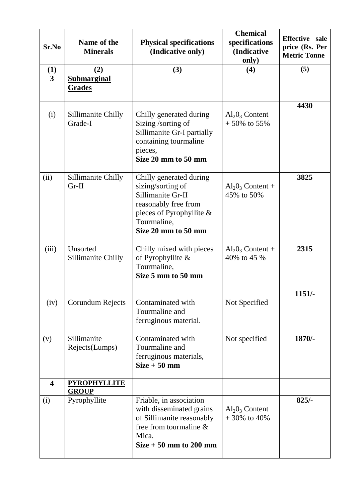| Sr.No                   | Name of the<br><b>Minerals</b>      | <b>Physical specifications</b><br>(Indicative only)                                                                                                            | <b>Chemical</b><br>specifications<br>(Indicative<br>only) | Effective sale<br>price (Rs. Per<br><b>Metric Tonne</b> |
|-------------------------|-------------------------------------|----------------------------------------------------------------------------------------------------------------------------------------------------------------|-----------------------------------------------------------|---------------------------------------------------------|
| (1)                     | (2)                                 | (3)                                                                                                                                                            | (4)                                                       | (5)                                                     |
| $\overline{\mathbf{3}}$ | <b>Submarginal</b><br>Grades        |                                                                                                                                                                |                                                           |                                                         |
| (i)                     | Sillimanite Chilly<br>Grade-I       | Chilly generated during<br>Sizing /sorting of<br>Sillimanite Gr-I partially<br>containing tourmaline<br>pieces,<br>Size 20 mm to 50 mm                         | $Al_2O_3$ Content<br>$+50\%$ to 55%                       | 4430                                                    |
| (ii)                    | Sillimanite Chilly<br>$Gr-II$       | Chilly generated during<br>sizing/sorting of<br>Sillimanite Gr-II<br>reasonably free from<br>pieces of Pyrophyllite $\&$<br>Tourmaline,<br>Size 20 mm to 50 mm | $Al_2O_3$ Content +<br>45% to 50%                         | 3825                                                    |
| (iii)                   | Unsorted<br>Sillimanite Chilly      | Chilly mixed with pieces<br>of Pyrophyllite &<br>Tourmaline,<br>Size 5 mm to 50 mm                                                                             | $Al_2O_3$ Content +<br>40% to 45 %                        | 2315                                                    |
| (iv)                    | Corundum Rejects                    | Contaminated with<br>Tourmaline and<br>ferruginous material.                                                                                                   | Not Specified                                             | $1151/-$                                                |
| (v)                     | Sillimanite<br>Rejects(Lumps)       | Contaminated with<br>Tourmaline and<br>ferruginous materials,<br>$Size + 50$ mm                                                                                | Not specified                                             | $1870/-$                                                |
| $\overline{\mathbf{4}}$ | <b>PYROPHYLLITE</b><br><b>GROUP</b> |                                                                                                                                                                |                                                           |                                                         |
| (i)                     | Pyrophyllite                        | Friable, in association<br>with disseminated grains<br>of Sillimanite reasonably<br>free from tourmaline $\&$<br>Mica.<br>$Size + 50$ mm to 200 mm             | $Al_2O_3$ Content<br>$+30\%$ to 40%                       | $825/-$                                                 |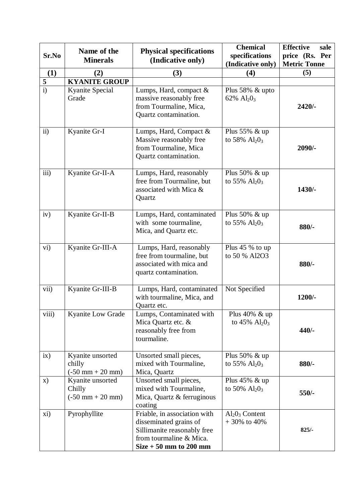| Sr.No                                     | Name of the<br><b>Minerals</b>                                   | <b>Physical specifications</b><br>(Indicative only)                                                                                          | <b>Chemical</b><br>specifications    | <b>Effective</b><br>sale<br>price (Rs. Per |
|-------------------------------------------|------------------------------------------------------------------|----------------------------------------------------------------------------------------------------------------------------------------------|--------------------------------------|--------------------------------------------|
|                                           |                                                                  |                                                                                                                                              | (Indicative only)                    | <b>Metric Tonne</b>                        |
| (1)                                       | (2)                                                              | (3)                                                                                                                                          | (4)                                  | (5)                                        |
| $\overline{\mathbf{5}}$<br>$\overline{i}$ | <b>KYANITE GROUP</b><br>Kyanite Special<br>Grade                 | Lumps, Hard, compact $\&$<br>massive reasonably free<br>from Tourmaline, Mica,<br>Quartz contamination.                                      | Plus 58% & upto<br>62% $Al_2O_3$     | $2420/-$                                   |
| $\mathbf{ii}$                             | Kyanite Gr-I                                                     | Lumps, Hard, Compact &<br>Massive reasonably free<br>from Tourmaline, Mica<br>Quartz contamination.                                          | Plus $55\%$ & up<br>to 58% $Al_2O_3$ | $2090/-$                                   |
| iii)                                      | Kyanite Gr-II-A                                                  | Lumps, Hard, reasonably<br>free from Tourmaline, but<br>associated with Mica &<br>Quartz                                                     | Plus $50\%$ & up<br>to 55% $Al_2O_3$ | 1430/-                                     |
| iv)                                       | Kyanite Gr-II-B                                                  | Lumps, Hard, contaminated<br>with some tourmaline,<br>Mica, and Quartz etc.                                                                  | Plus $50\%$ & up<br>to 55% $Al_2O_3$ | 880/-                                      |
| vi)                                       | Kyanite Gr-III-A                                                 | Lumps, Hard, reasonably<br>free from tourmaline, but<br>associated with mica and<br>quartz contamination.                                    | Plus 45 % to up<br>to 50 % Al2O3     | 880/-                                      |
| vii)                                      | Kyanite Gr-III-B                                                 | Lumps, Hard, contaminated<br>with tourmaline, Mica, and<br>Quartz etc.                                                                       | Not Specified                        | 1200/-                                     |
| viii)                                     | <b>Kyanite Low Grade</b>                                         | Lumps, Contaminated with<br>Mica Quartz etc. &<br>reasonably free from<br>tourmaline.                                                        | Plus 40% & up<br>to 45% $Al_2O_3$    | $440/-$                                    |
| ix)                                       | Kyanite unsorted<br>chilly<br>$(-50 \text{ mm} + 20 \text{ mm})$ | Unsorted small pieces,<br>mixed with Tourmaline,<br>Mica, Quartz                                                                             | Plus $50\%$ & up<br>to 55% $Al_2O_3$ | 880/-                                      |
| X)                                        | Kyanite unsorted<br>Chilly<br>$(-50 \text{ mm} + 20 \text{ mm})$ | Unsorted small pieces,<br>mixed with Tourmaline,<br>Mica, Quartz & ferruginous<br>coating                                                    | Plus $45\%$ & up<br>to 50% $Al_2O_3$ | 550/-                                      |
| xi)                                       | Pyrophyllite                                                     | Friable, in association with<br>disseminated grains of<br>Sillimanite reasonably free<br>from tourmaline & Mica.<br>$Size + 50$ mm to 200 mm | $Al_2O_3$ Content<br>$+30\%$ to 40%  | $825/-$                                    |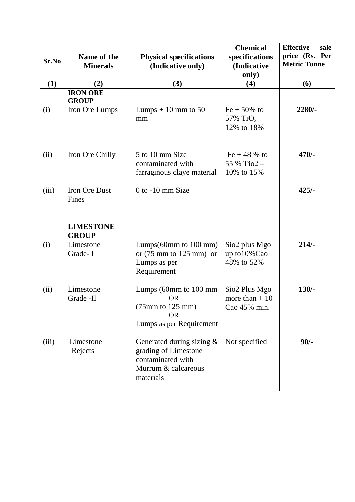| Sr.No | Name of the<br><b>Minerals</b>   | <b>Physical specifications</b><br>(Indicative only)                                                                    | <b>Chemical</b><br>specifications<br>(Indicative<br>only) | <b>Effective</b><br>sale<br>price (Rs. Per<br><b>Metric Tonne</b> |
|-------|----------------------------------|------------------------------------------------------------------------------------------------------------------------|-----------------------------------------------------------|-------------------------------------------------------------------|
| (1)   | (2)                              | (3)                                                                                                                    | (4)                                                       | (6)                                                               |
|       | <b>IRON ORE</b><br><b>GROUP</b>  |                                                                                                                        |                                                           |                                                                   |
| (i)   | Iron Ore Lumps                   | Lumps $+10$ mm to 50<br>mm                                                                                             | $Fe + 50\%$ to<br>57% TiO <sub>2</sub> –<br>12% to 18%    | 2280/-                                                            |
| (ii)  | Iron Ore Chilly                  | 5 to 10 mm Size<br>contaminated with<br>farraginous claye material                                                     | Fe + 48 % to<br>55 % Tio2 -<br>10% to 15%                 | $470/-$                                                           |
| (iii) | Iron Ore Dust<br>Fines           | $0$ to $-10$ mm Size                                                                                                   |                                                           | $425/-$                                                           |
|       | <b>LIMESTONE</b><br><b>GROUP</b> |                                                                                                                        |                                                           |                                                                   |
| (i)   | Limestone<br>Grade-I             | Lumps $(60 \text{mm}$ to $100 \text{mm})$<br>or $(75 \text{ mm to } 125 \text{ mm})$ or<br>Lumps as per<br>Requirement | Sio2 plus Mgo<br>up to 10% Cao<br>48% to 52%              | $214/-$                                                           |
| (ii)  | Limestone<br>Grade -II           | Lumps (60mm to 100 mm<br><b>OR</b><br>$(75mm)$ to 125 mm)<br><b>OR</b><br>Lumps as per Requirement                     | Sio2 Plus Mgo<br>more than $+10$<br>Cao 45% min.          | $130/-$                                                           |
| (iii) | Limestone<br>Rejects             | Generated during sizing &<br>grading of Limestone<br>contaminated with<br>Murrum & calcareous<br>materials             | Not specified                                             | $90/-$                                                            |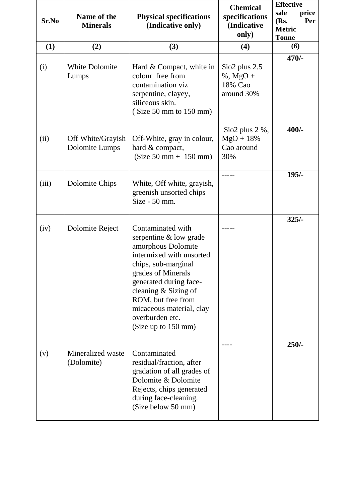| Sr.No | Name of the<br><b>Minerals</b>      | <b>Physical specifications</b><br>(Indicative only)                                                                                                                                                                                                                                      | <b>Chemical</b><br>specifications<br>(Indicative<br>only) | <b>Effective</b><br>sale<br>price<br>(Rs.<br>Per<br><b>Metric</b><br><b>Tonne</b> |
|-------|-------------------------------------|------------------------------------------------------------------------------------------------------------------------------------------------------------------------------------------------------------------------------------------------------------------------------------------|-----------------------------------------------------------|-----------------------------------------------------------------------------------|
| (1)   | (2)                                 | (3)                                                                                                                                                                                                                                                                                      | (4)                                                       | (6)                                                                               |
| (i)   | <b>White Dolomite</b><br>Lumps      | Hard & Compact, white in<br>colour free from<br>contamination viz<br>serpentine, clayey,<br>siliceous skin.<br>(Size 50 mm to 150 mm)                                                                                                                                                    | $Sio2$ plus 2.5<br>$%$ , MgO +<br>18% Cao<br>around 30%   | $470/-$                                                                           |
| (ii)  | Off White/Grayish<br>Dolomite Lumps | Off-White, gray in colour,<br>hard & compact,<br>$(Size 50 mm + 150 mm)$                                                                                                                                                                                                                 | Sio2 plus $2\%$ ,<br>$MgO + 18%$<br>Cao around<br>30%     | $400/-$                                                                           |
| (iii) | Dolomite Chips                      | White, Off white, grayish,<br>greenish unsorted chips<br>Size - 50 mm.                                                                                                                                                                                                                   |                                                           | $195/-$                                                                           |
| (iv)  | Dolomite Reject                     | Contaminated with<br>serpentine & low grade<br>amorphous Dolomite<br>intermixed with unsorted<br>chips, sub-marginal<br>grades of Minerals<br>generated during face-<br>cleaning & Sizing of<br>ROM, but free from<br>micaceous material, clay<br>overburden etc.<br>(Size up to 150 mm) |                                                           | $325/-$                                                                           |
| (v)   | Mineralized waste<br>(Dolomite)     | Contaminated<br>residual/fraction, after<br>gradation of all grades of<br>Dolomite & Dolomite<br>Rejects, chips generated<br>during face-cleaning.<br>(Size below 50 mm)                                                                                                                 |                                                           | $250/-$                                                                           |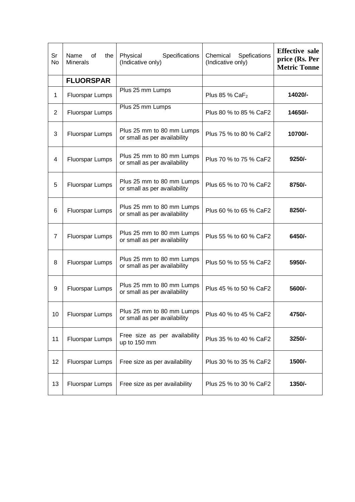| Sr<br><b>No</b> | Name<br>0f<br>the<br><b>Minerals</b> | Physical<br>Specifications<br>(Indicative only)           | Chemical<br>Spefications<br>(Indicative only) | <b>Effective sale</b><br>price (Rs. Per<br><b>Metric Tonne</b> |
|-----------------|--------------------------------------|-----------------------------------------------------------|-----------------------------------------------|----------------------------------------------------------------|
|                 | <b>FLUORSPAR</b>                     |                                                           |                                               |                                                                |
| 1               | <b>Fluorspar Lumps</b>               | Plus 25 mm Lumps                                          | Plus 85 % $CaF2$                              | 14020/-                                                        |
| $\overline{2}$  | <b>Fluorspar Lumps</b>               | Plus 25 mm Lumps                                          | Plus 80 % to 85 % CaF2                        | 14650/-                                                        |
| 3               | <b>Fluorspar Lumps</b>               | Plus 25 mm to 80 mm Lumps<br>or small as per availability | Plus 75 % to 80 % CaF2                        | 10700/-                                                        |
| 4               | <b>Fluorspar Lumps</b>               | Plus 25 mm to 80 mm Lumps<br>or small as per availability | Plus 70 % to 75 % CaF2                        | $9250/-$                                                       |
| 5               | Fluorspar Lumps                      | Plus 25 mm to 80 mm Lumps<br>or small as per availability | Plus 65 % to 70 % CaF2                        | 8750/-                                                         |
| 6               | Fluorspar Lumps                      | Plus 25 mm to 80 mm Lumps<br>or small as per availability | Plus 60 % to 65 % CaF2                        | 8250/-                                                         |
| $\overline{7}$  | Fluorspar Lumps                      | Plus 25 mm to 80 mm Lumps<br>or small as per availability | Plus 55 % to 60 % CaF2                        | 6450/-                                                         |
| 8               | <b>Fluorspar Lumps</b>               | Plus 25 mm to 80 mm Lumps<br>or small as per availability | Plus 50 % to 55 % CaF2                        | 5950/-                                                         |
| 9               | <b>Fluorspar Lumps</b>               | Plus 25 mm to 80 mm Lumps<br>or small as per availability | Plus 45 % to 50 % CaF2                        | 5600/-                                                         |
| 10              | Fluorspar Lumps                      | Plus 25 mm to 80 mm Lumps<br>or small as per availability | Plus 40 % to 45 % CaF2                        | 4750/-                                                         |
| 11              | Fluorspar Lumps                      | Free size as per availability<br>up to 150 mm             | Plus 35 % to 40 % CaF2                        | 3250/-                                                         |
| 12              | <b>Fluorspar Lumps</b>               | Free size as per availability                             | Plus 30 % to 35 % CaF2                        | 1500/-                                                         |
| 13              | <b>Fluorspar Lumps</b>               | Free size as per availability                             | Plus 25 % to 30 % CaF2                        | 1350/-                                                         |